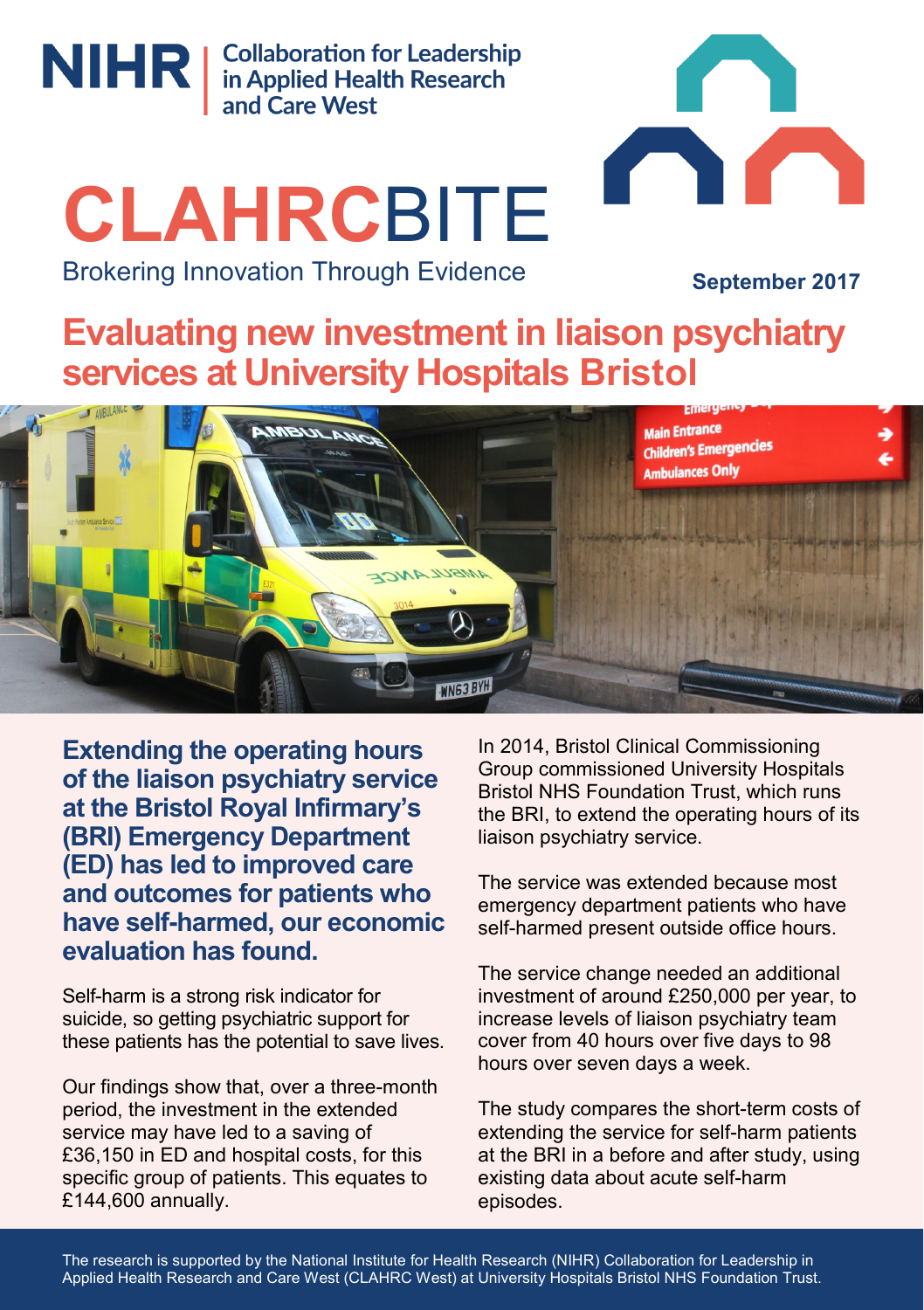

NIHR | Collaboration for Leadership<br>
and Care West

# **CLAHRC**BITE Brokering Innovation Through Evidence

**September 2017**

**TELESCOPE** 

**Evaluating new investment in liaison psychiatry services at University Hospitals Bristol**



**Extending the operating hours of the liaison psychiatry service at the Bristol Royal Infirmary's (BRI) Emergency Department (ED) has led to improved care and outcomes for patients who have self-harmed, our economic evaluation has found.**

Self-harm is a strong risk indicator for suicide, so getting psychiatric support for these patients has the potential to save lives.

Our findings show that, over a three-month period, the investment in the extended service may have led to a saving of £36,150 in ED and hospital costs, for this specific group of patients. This equates to £144,600 annually.

In 2014, Bristol Clinical Commissioning Group commissioned University Hospitals Bristol NHS Foundation Trust, which runs the BRI, to extend the operating hours of its liaison psychiatry service.

C

The service was extended because most emergency department patients who have self-harmed present outside office hours.

The service change needed an additional investment of around £250,000 per year, to increase levels of liaison psychiatry team cover from 40 hours over five days to 98 hours over seven days a week.

The study compares the short-term costs of extending the service for self-harm patients at the BRI in a before and after study, using existing data about acute self-harm episodes.